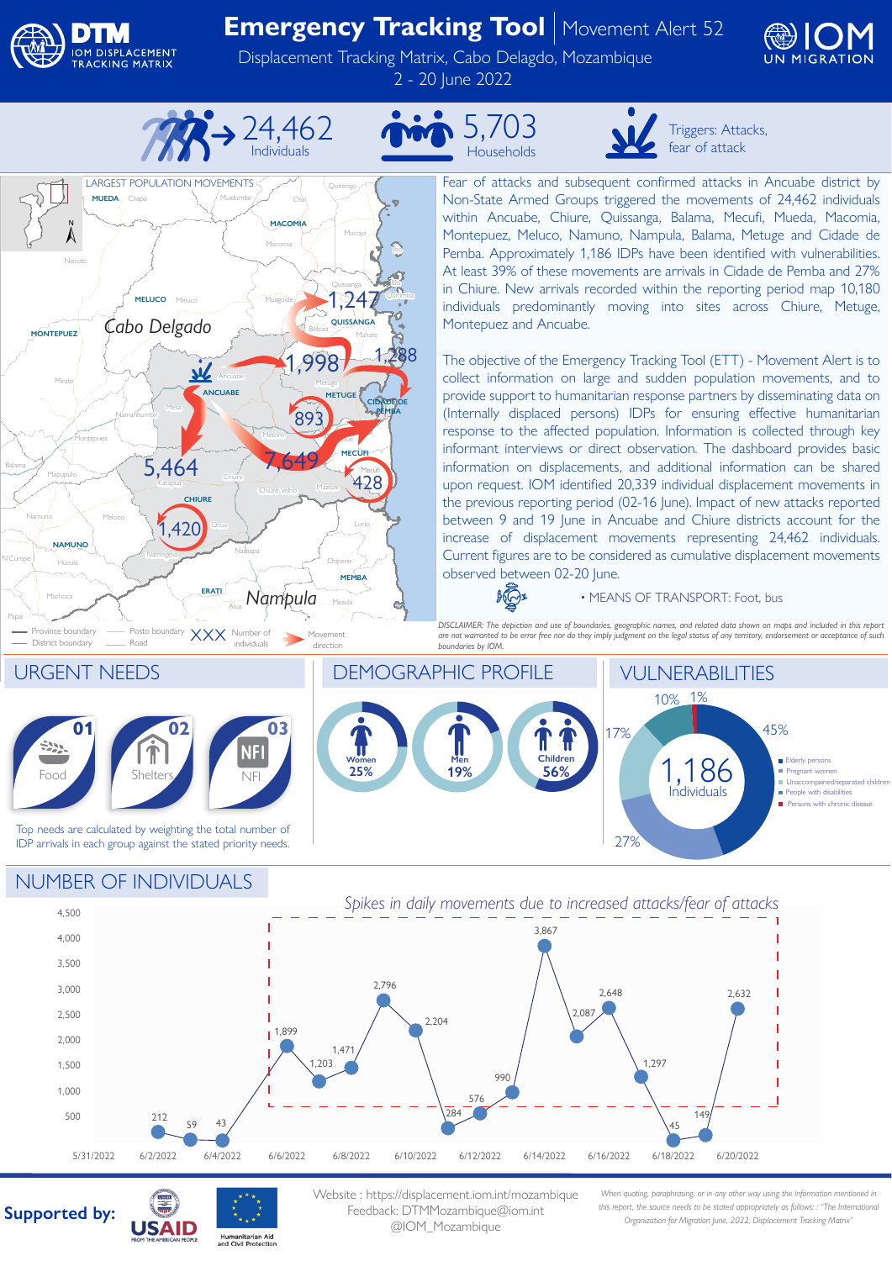

## **Emergency Tracking Tool** | Movement Alert 52

Displacement Tracking Matrix, Cabo Delagdo, Mozambique 2 - 20 June 2022





5,703 Households



Fear of attacks and subsequent confirmed attacks in Ancuabe district by Non-State Armed Groups triggered the movements of 24,462 individuals within Ancuabe, Chiure, Quissanga, Balama, Mecufi, Mueda, Macomia, Montepuez, Meluco, Namuno, Nampula, Balama, Metuge and Cidade de Pemba. Approximately 1,186 IDPs have been identified with vulnerabilities. At least 39% of these movements are arrivals in Cidade de Pemba and 27% in Chiure. New arrivals recorded within the reporting period map 10,180 individuals predominantly moving into sites across Chiure, Metuge,

Triggers: Attacks, fear of attack

The objective of the Emergency Tracking Tool (ETT) - Movement Alert is to collect information on large and sudden population movements, and to provide support to humanitarian response partners by disseminating data on (Internally displaced persons) IDPs for ensuring effective humanitarian response to the affected population. Information is collected through key informant interviews or direct observation. The dashboard provides basic information on displacements, and additional information can be shared upon request. IOM identified 20,339 individual displacement movements in the previous reporting period (02-16 June). Impact of new attacks reported between 9 and 19 June in Ancuabe and Chiure districts account for the increase of displacement movements representing 24,462 individuals. Current figures are to be considered as cumulative displacement movements

## • MEANS OF TRANSPORT: Foot, bus

*DISCLAIMER: The depiction and use of boundaries, geographic names, and related data shown on maps and included in this report are not warranted to be error free nor do they imply judgment on the legal status of any territory, endorsement or acceptance of such* 



## NUMBER OF INDIVIDUALS



**Supported by:**



Website : https://displacement.iom.int/mozambique Feedback: DTMMozambique@iom.int @IOM\_Mozambique

*When quoting, paraphrasing, or in any other way using the information mentioned in this report, the source needs to be stated appropriately as follows: : "The International Organization for Migration June, 2022, Displacement Tracking Matrix"*